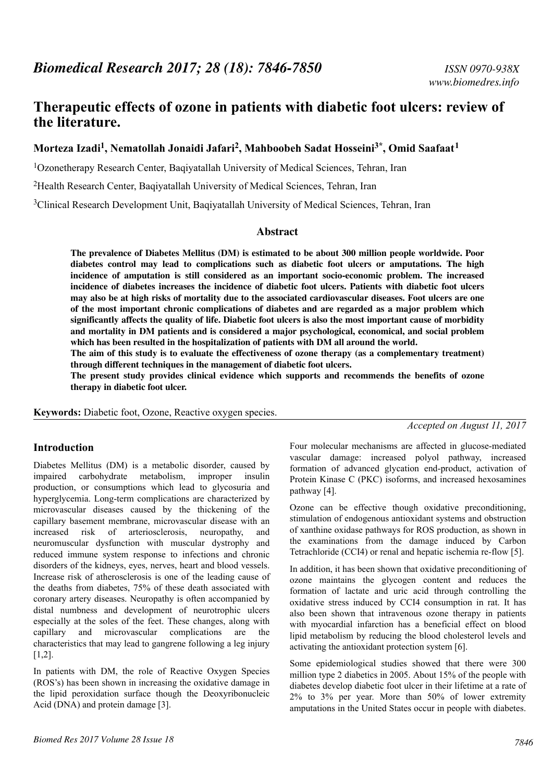# **Therapeutic effects of ozone in patients with diabetic foot ulcers: review of the literature.**

# **Morteza Izadi<sup>1</sup> , Nematollah Jonaidi Jafari<sup>2</sup> , Mahboobeh Sadat Hosseini3\*, Omid Saafaat<sup>1</sup>**

<sup>1</sup>Ozonetherapy Research Center, Baqiyatallah University of Medical Sciences, Tehran, Iran

<sup>2</sup>Health Research Center, Baqiyatallah University of Medical Sciences, Tehran, Iran

<sup>3</sup>Clinical Research Development Unit, Baqiyatallah University of Medical Sciences, Tehran, Iran

#### **Abstract**

**The prevalence of Diabetes Mellitus (DM) is estimated to be about 300 million people worldwide. Poor diabetes control may lead to complications such as diabetic foot ulcers or amputations. The high incidence of amputation is still considered as an important socio-economic problem. The increased incidence of diabetes increases the incidence of diabetic foot ulcers. Patients with diabetic foot ulcers may also be at high risks of mortality due to the associated cardiovascular diseases. Foot ulcers are one of the most important chronic complications of diabetes and are regarded as a major problem which significantly affects the quality of life. Diabetic foot ulcers is also the most important cause of morbidity and mortality in DM patients and is considered a major psychological, economical, and social problem which has been resulted in the hospitalization of patients with DM all around the world.**

**The aim of this study is to evaluate the effectiveness of ozone therapy (as a complementary treatment) through different techniques in the management of diabetic foot ulcers.**

**The present study provides clinical evidence which supports and recommends the benefits of ozone therapy in diabetic foot ulcer.**

**Keywords:** Diabetic foot, Ozone, Reactive oxygen species.

*Accepted on August 11, 2017*

#### **Introduction**

Diabetes Mellitus (DM) is a metabolic disorder, caused by impaired carbohydrate metabolism, improper insulin production, or consumptions which lead to glycosuria and hyperglycemia. Long-term complications are characterized by microvascular diseases caused by the thickening of the capillary basement membrane, microvascular disease with an increased risk of arteriosclerosis, neuropathy, and neuromuscular dysfunction with muscular dystrophy and reduced immune system response to infections and chronic disorders of the kidneys, eyes, nerves, heart and blood vessels. Increase risk of atherosclerosis is one of the leading cause of the deaths from diabetes, 75% of these death associated with coronary artery diseases. Neuropathy is often accompanied by distal numbness and development of neurotrophic ulcers especially at the soles of the feet. These changes, along with capillary and microvascular complications are the characteristics that may lead to gangrene following a leg injury [1,2].

In patients with DM, the role of Reactive Oxygen Species (ROS's) has been shown in increasing the oxidative damage in the lipid peroxidation surface though the Deoxyribonucleic Acid (DNA) and protein damage [3].

Four molecular mechanisms are affected in glucose-mediated vascular damage: increased polyol pathway, increased formation of advanced glycation end-product, activation of Protein Kinase C (PKC) isoforms, and increased hexosamines pathway [4].

Ozone can be effective though oxidative preconditioning, stimulation of endogenous antioxidant systems and obstruction of xanthine oxidase pathways for ROS production, as shown in the examinations from the damage induced by Carbon Tetrachloride (CCI4) or renal and hepatic ischemia re-flow [5].

In addition, it has been shown that oxidative preconditioning of ozone maintains the glycogen content and reduces the formation of lactate and uric acid through controlling the oxidative stress induced by CCI4 consumption in rat. It has also been shown that intravenous ozone therapy in patients with myocardial infarction has a beneficial effect on blood lipid metabolism by reducing the blood cholesterol levels and activating the antioxidant protection system [6].

Some epidemiological studies showed that there were 300 million type 2 diabetics in 2005. About 15% of the people with diabetes develop diabetic foot ulcer in their lifetime at a rate of 2% to 3% per year. More than 50% of lower extremity amputations in the United States occur in people with diabetes.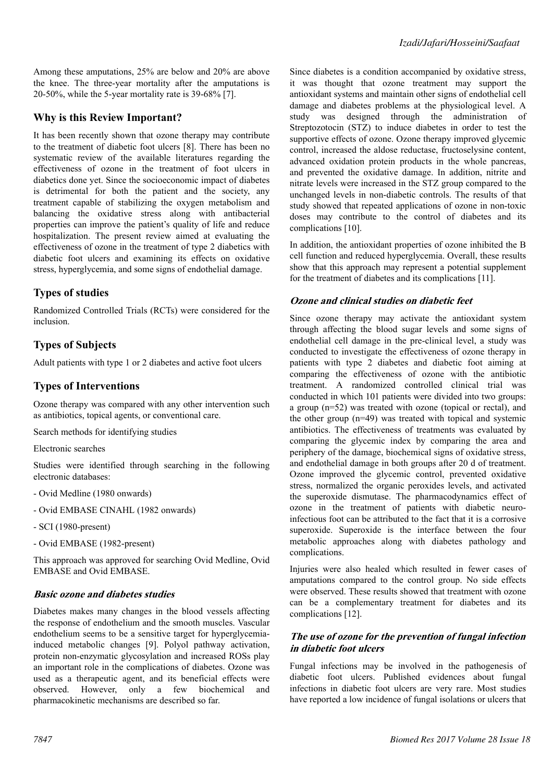Among these amputations, 25% are below and 20% are above the knee. The three-year mortality after the amputations is 20-50%, while the 5-year mortality rate is 39-68% [7].

# **Why is this Review Important?**

It has been recently shown that ozone therapy may contribute to the treatment of diabetic foot ulcers [8]. There has been no systematic review of the available literatures regarding the effectiveness of ozone in the treatment of foot ulcers in diabetics done yet. Since the socioeconomic impact of diabetes is detrimental for both the patient and the society, any treatment capable of stabilizing the oxygen metabolism and balancing the oxidative stress along with antibacterial properties can improve the patient's quality of life and reduce hospitalization. The present review aimed at evaluating the effectiveness of ozone in the treatment of type 2 diabetics with diabetic foot ulcers and examining its effects on oxidative stress, hyperglycemia, and some signs of endothelial damage.

# **Types of studies**

Randomized Controlled Trials (RCTs) were considered for the inclusion.

# **Types of Subjects**

Adult patients with type 1 or 2 diabetes and active foot ulcers

# **Types of Interventions**

Ozone therapy was compared with any other intervention such as antibiotics, topical agents, or conventional care.

Search methods for identifying studies

Electronic searches

Studies were identified through searching in the following electronic databases:

- Ovid Medline (1980 onwards)
- Ovid EMBASE CINAHL (1982 onwards)
- SCI (1980-present)
- Ovid EMBASE (1982-present)

This approach was approved for searching Ovid Medline, Ovid EMBASE and Ovid EMBASE.

#### **Basic ozone and diabetes studies**

Diabetes makes many changes in the blood vessels affecting the response of endothelium and the smooth muscles. Vascular endothelium seems to be a sensitive target for hyperglycemiainduced metabolic changes [9]. Polyol pathway activation, protein non-enzymatic glycosylation and increased ROSs play an important role in the complications of diabetes. Ozone was used as a therapeutic agent, and its beneficial effects were observed. However, only a few biochemical and pharmacokinetic mechanisms are described so far.

Since diabetes is a condition accompanied by oxidative stress, it was thought that ozone treatment may support the antioxidant systems and maintain other signs of endothelial cell damage and diabetes problems at the physiological level. A study was designed through the administration of Streptozotocin (STZ) to induce diabetes in order to test the supportive effects of ozone. Ozone therapy improved glycemic control, increased the aldose reductase, fructoselysine content, advanced oxidation protein products in the whole pancreas, and prevented the oxidative damage. In addition, nitrite and nitrate levels were increased in the STZ group compared to the unchanged levels in non-diabetic controls. The results of that study showed that repeated applications of ozone in non-toxic doses may contribute to the control of diabetes and its complications [10].

In addition, the antioxidant properties of ozone inhibited the B cell function and reduced hyperglycemia. Overall, these results show that this approach may represent a potential supplement for the treatment of diabetes and its complications [11].

#### **Ozone and clinical studies on diabetic feet**

Since ozone therapy may activate the antioxidant system through affecting the blood sugar levels and some signs of endothelial cell damage in the pre-clinical level, a study was conducted to investigate the effectiveness of ozone therapy in patients with type 2 diabetes and diabetic foot aiming at comparing the effectiveness of ozone with the antibiotic treatment. A randomized controlled clinical trial was conducted in which 101 patients were divided into two groups: a group (n=52) was treated with ozone (topical or rectal), and the other group (n=49) was treated with topical and systemic antibiotics. The effectiveness of treatments was evaluated by comparing the glycemic index by comparing the area and periphery of the damage, biochemical signs of oxidative stress, and endothelial damage in both groups after 20 d of treatment. Ozone improved the glycemic control, prevented oxidative stress, normalized the organic peroxides levels, and activated the superoxide dismutase. The pharmacodynamics effect of ozone in the treatment of patients with diabetic neuroinfectious foot can be attributed to the fact that it is a corrosive superoxide. Superoxide is the interface between the four metabolic approaches along with diabetes pathology and complications.

Injuries were also healed which resulted in fewer cases of amputations compared to the control group. No side effects were observed. These results showed that treatment with ozone can be a complementary treatment for diabetes and its complications [12].

### **The use of ozone for the prevention of fungal infection in diabetic foot ulcers**

Fungal infections may be involved in the pathogenesis of diabetic foot ulcers. Published evidences about fungal infections in diabetic foot ulcers are very rare. Most studies have reported a low incidence of fungal isolations or ulcers that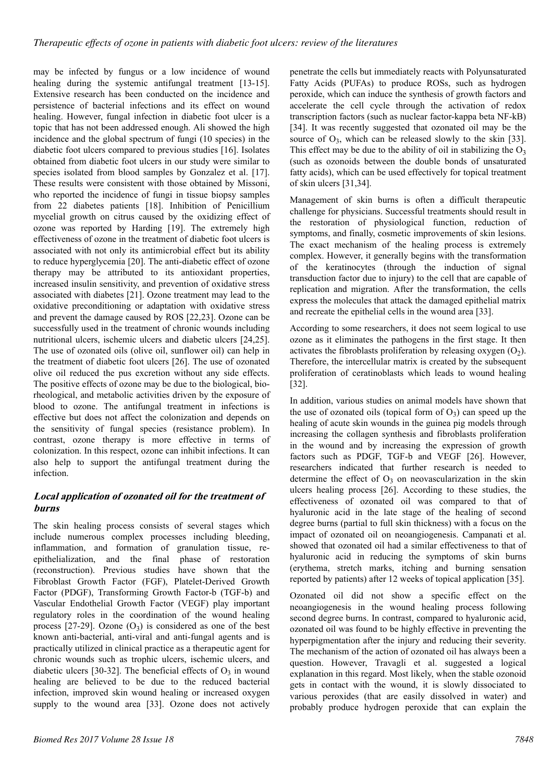may be infected by fungus or a low incidence of wound healing during the systemic antifungal treatment [13-15]. Extensive research has been conducted on the incidence and persistence of bacterial infections and its effect on wound healing. However, fungal infection in diabetic foot ulcer is a topic that has not been addressed enough. Ali showed the high incidence and the global spectrum of fungi (10 species) in the diabetic foot ulcers compared to previous studies [16]. Isolates obtained from diabetic foot ulcers in our study were similar to species isolated from blood samples by Gonzalez et al. [17]. These results were consistent with those obtained by Missoni, who reported the incidence of fungi in tissue biopsy samples from 22 diabetes patients [18]. Inhibition of Penicillium mycelial growth on citrus caused by the oxidizing effect of ozone was reported by Harding [19]. The extremely high effectiveness of ozone in the treatment of diabetic foot ulcers is associated with not only its antimicrobial effect but its ability to reduce hyperglycemia [20]. The anti-diabetic effect of ozone therapy may be attributed to its antioxidant properties, increased insulin sensitivity, and prevention of oxidative stress associated with diabetes [21]. Ozone treatment may lead to the oxidative preconditioning or adaptation with oxidative stress and prevent the damage caused by ROS [22,23]. Ozone can be successfully used in the treatment of chronic wounds including nutritional ulcers, ischemic ulcers and diabetic ulcers [24,25]. The use of ozonated oils (olive oil, sunflower oil) can help in the treatment of diabetic foot ulcers [26]. The use of ozonated olive oil reduced the pus excretion without any side effects. The positive effects of ozone may be due to the biological, biorheological, and metabolic activities driven by the exposure of blood to ozone. The antifungal treatment in infections is effective but does not affect the colonization and depends on the sensitivity of fungal species (resistance problem). In contrast, ozone therapy is more effective in terms of colonization. In this respect, ozone can inhibit infections. It can also help to support the antifungal treatment during the infection.

# **Local application of ozonated oil for the treatment of burns**

The skin healing process consists of several stages which include numerous complex processes including bleeding, inflammation, and formation of granulation tissue, reepithelialization, and the final phase of restoration (reconstruction). Previous studies have shown that the Fibroblast Growth Factor (FGF), Platelet-Derived Growth Factor (PDGF), Transforming Growth Factor-b (TGF-b) and Vascular Endothelial Growth Factor (VEGF) play important regulatory roles in the coordination of the wound healing process  $[27-29]$ . Ozone  $(O_3)$  is considered as one of the best known anti-bacterial, anti-viral and anti-fungal agents and is practically utilized in clinical practice as a therapeutic agent for chronic wounds such as trophic ulcers, ischemic ulcers, and diabetic ulcers [30-32]. The beneficial effects of  $O_3$  in wound healing are believed to be due to the reduced bacterial infection, improved skin wound healing or increased oxygen supply to the wound area [33]. Ozone does not actively

penetrate the cells but immediately reacts with Polyunsaturated Fatty Acids (PUFAs) to produce ROSs, such as hydrogen peroxide, which can induce the synthesis of growth factors and accelerate the cell cycle through the activation of redox transcription factors (such as nuclear factor-kappa beta NF-kB) [34]. It was recently suggested that ozonated oil may be the source of  $O_3$ , which can be released slowly to the skin [33]. This effect may be due to the ability of oil in stabilizing the  $O_3$ (such as ozonoids between the double bonds of unsaturated fatty acids), which can be used effectively for topical treatment of skin ulcers [31,34].

Management of skin burns is often a difficult therapeutic challenge for physicians. Successful treatments should result in the restoration of physiological function, reduction of symptoms, and finally, cosmetic improvements of skin lesions. The exact mechanism of the healing process is extremely complex. However, it generally begins with the transformation of the keratinocytes (through the induction of signal transduction factor due to injury) to the cell that are capable of replication and migration. After the transformation, the cells express the molecules that attack the damaged epithelial matrix and recreate the epithelial cells in the wound area [33].

According to some researchers, it does not seem logical to use ozone as it eliminates the pathogens in the first stage. It then activates the fibroblasts proliferation by releasing oxygen  $(O_2)$ . Therefore, the intercellular matrix is created by the subsequent proliferation of ceratinoblasts which leads to wound healing [32].

In addition, various studies on animal models have shown that the use of ozonated oils (topical form of  $O_3$ ) can speed up the healing of acute skin wounds in the guinea pig models through increasing the collagen synthesis and fibroblasts proliferation in the wound and by increasing the expression of growth factors such as PDGF, TGF-b and VEGF [26]. However, researchers indicated that further research is needed to determine the effect of  $O_3$  on neovascularization in the skin ulcers healing process [26]. According to these studies, the effectiveness of ozonated oil was compared to that of hyaluronic acid in the late stage of the healing of second degree burns (partial to full skin thickness) with a focus on the impact of ozonated oil on neoangiogenesis. Campanati et al. showed that ozonated oil had a similar effectiveness to that of hyaluronic acid in reducing the symptoms of skin burns (erythema, stretch marks, itching and burning sensation reported by patients) after 12 weeks of topical application [35].

Ozonated oil did not show a specific effect on the neoangiogenesis in the wound healing process following second degree burns. In contrast, compared to hyaluronic acid, ozonated oil was found to be highly effective in preventing the hyperpigmentation after the injury and reducing their severity. The mechanism of the action of ozonated oil has always been a question. However, Travagli et al. suggested a logical explanation in this regard. Most likely, when the stable ozonoid gets in contact with the wound, it is slowly dissociated to various peroxides (that are easily dissolved in water) and probably produce hydrogen peroxide that can explain the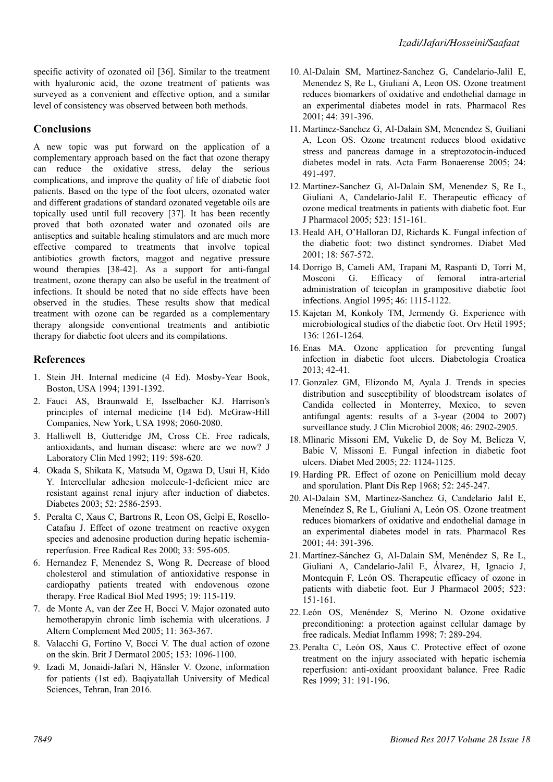specific activity of ozonated oil [36]. Similar to the treatment with hyaluronic acid, the ozone treatment of patients was surveyed as a convenient and effective option, and a similar level of consistency was observed between both methods.

### **Conclusions**

A new topic was put forward on the application of a complementary approach based on the fact that ozone therapy can reduce the oxidative stress, delay the serious complications, and improve the quality of life of diabetic foot patients. Based on the type of the foot ulcers, ozonated water and different gradations of standard ozonated vegetable oils are topically used until full recovery [37]. It has been recently proved that both ozonated water and ozonated oils are antiseptics and suitable healing stimulators and are much more effective compared to treatments that involve topical antibiotics growth factors, maggot and negative pressure wound therapies [38-42]. As a support for anti-fungal treatment, ozone therapy can also be useful in the treatment of infections. It should be noted that no side effects have been observed in the studies. These results show that medical treatment with ozone can be regarded as a complementary therapy alongside conventional treatments and antibiotic therapy for diabetic foot ulcers and its compilations.

### **References**

- 1. Stein JH. Internal medicine (4 Ed). Mosby-Year Book, Boston, USA 1994; 1391-1392.
- 2. Fauci AS, Braunwald E, Isselbacher KJ. Harrison's principles of internal medicine (14 Ed). McGraw-Hill Companies, New York, USA 1998; 2060-2080.
- 3. Halliwell B, Gutteridge JM, Cross CE. Free radicals, antioxidants, and human disease: where are we now? J Laboratory Clin Med 1992; 119: 598-620.
- 4. Okada S, Shikata K, Matsuda M, Ogawa D, Usui H, Kido Y. Intercellular adhesion molecule-1-deficient mice are resistant against renal injury after induction of diabetes. Diabetes 2003; 52: 2586-2593.
- 5. Peralta C, Xaus C, Bartrons R, Leon OS, Gelpi E, Rosello-Catafau J. Effect of ozone treatment on reactive oxygen species and adenosine production during hepatic ischemiareperfusion. Free Radical Res 2000; 33: 595-605.
- 6. Hernandez F, Menendez S, Wong R. Decrease of blood cholesterol and stimulation of antioxidative response in cardiopathy patients treated with endovenous ozone therapy. Free Radical Biol Med 1995; 19: 115-119.
- 7. de Monte A, van der Zee H, Bocci V. Major ozonated auto hemotherapyin chronic limb ischemia with ulcerations. J Altern Complement Med 2005; 11: 363-367.
- 8. Valacchi G, Fortino V, Bocci V. The dual action of ozone on the skin. Brit J Dermatol 2005; 153: 1096-1100.
- 9. Izadi M, Jonaidi-Jafari N, Hänsler V. Ozone, information for patients (1st ed). Baqiyatallah University of Medical Sciences, Tehran, Iran 2016.
- 10. Al-Dalain SM, Martinez-Sanchez G, Candelario-Jalil E, Menendez S, Re L, Giuliani A, Leon OS. Ozone treatment reduces biomarkers of oxidative and endothelial damage in an experimental diabetes model in rats. Pharmacol Res 2001; 44: 391-396.
- 11. Martinez-Sanchez G, Al-Dalain SM, Menendez S, Guiliani A, Leon OS. Ozone treatment reduces blood oxidative stress and pancreas damage in a streptozotocin-induced diabetes model in rats. Acta Farm Bonaerense 2005; 24: 491-497.
- 12. Martinez-Sanchez G, Al-Dalain SM, Menendez S, Re L, Giuliani A, Candelario-Jalil E. Therapeutic efficacy of ozone medical treatments in patients with diabetic foot. Eur J Pharmacol 2005; 523: 151-161.
- 13. Heald AH, O'Halloran DJ, Richards K. Fungal infection of the diabetic foot: two distinct syndromes. Diabet Med 2001; 18: 567-572.
- 14. Dorrigo B, Cameli AM, Trapani M, Raspanti D, Torri M, Mosconi G. Efficacy of femoral intra-arterial administration of teicoplan in grampositive diabetic foot infections. Angiol 1995; 46: 1115-1122.
- 15. Kajetan M, Konkoly TM, Jermendy G. Experience with microbiological studies of the diabetic foot. Orv Hetil 1995; 136: 1261-1264.
- 16. Enas MA. Ozone application for preventing fungal infection in diabetic foot ulcers. Diabetologia Croatica 2013; 42-41.
- 17. Gonzalez GM, Elizondo M, Ayala J. Trends in species distribution and susceptibility of bloodstream isolates of Candida collected in Monterrey, Mexico, to seven antifungal agents: results of a 3-year (2004 to 2007) surveillance study. J Clin Microbiol 2008; 46: 2902-2905.
- 18. Mlinaric Missoni EM, Vukelic D, de Soy M, Belicza V, Babic V, Missoni E. Fungal infection in diabetic foot ulcers. Diabet Med 2005; 22: 1124-1125.
- 19. Harding PR. Effect of ozone on Penicillium mold decay and sporulation. Plant Dis Rep 1968; 52: 245-247.
- 20. Al-Dalain SM, Martínez-Sanchez G, Candelario Jalil E, Meneíndez S, Re L, Giuliani A, León OS. Ozone treatment reduces biomarkers of oxidative and endothelial damage in an experimental diabetes model in rats. Pharmacol Res 2001; 44: 391-396.
- 21. Martínez-Sánchez G, Al-Dalain SM, Menéndez S, Re L, Giuliani A, Candelario-Jalil E, Álvarez, H, Ignacio J, Montequín F, León OS. Therapeutic efficacy of ozone in patients with diabetic foot. Eur J Pharmacol 2005; 523: 151-161.
- 22. León OS, Menéndez S, Merino N. Ozone oxidative preconditioning: a protection against cellular damage by free radicals. Mediat Inflamm 1998; 7: 289-294.
- 23.Peralta C, León OS, Xaus C. Protective effect of ozone treatment on the injury associated with hepatic ischemia reperfusion: anti-oxidant prooxidant balance. Free Radic Res 1999; 31: 191-196.